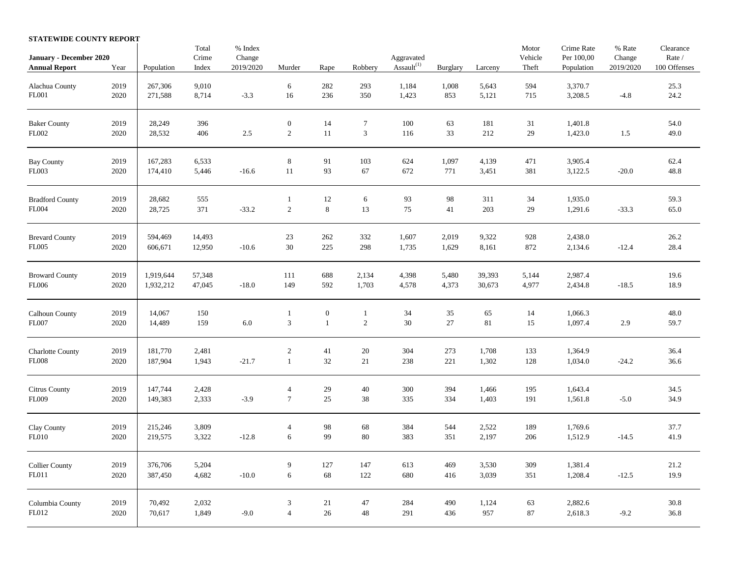## **STATEWIDE COUNTY REPORT**

| January - December 2020<br><b>Annual Report</b> | Year             | Population             | Total<br>Crime<br>Index | % Index<br>Change<br>2019/2020 | Murder                         | Rape                             | Robbery                  | Aggravated<br>Assault $(1)$ | <b>Burglary</b> | Larceny          | Motor<br>Vehicle<br>Theft | Crime Rate<br>Per 100,00<br>Population | % Rate<br>Change<br>2019/2020 | Clearance<br>Rate /<br>100 Offenses |
|-------------------------------------------------|------------------|------------------------|-------------------------|--------------------------------|--------------------------------|----------------------------------|--------------------------|-----------------------------|-----------------|------------------|---------------------------|----------------------------------------|-------------------------------|-------------------------------------|
| Alachua County<br>FL001                         | 2019<br>2020     | 267,306<br>271,588     | 9,010<br>8,714          | $-3.3$                         | 6<br>16                        | 282<br>236                       | 293<br>350               | 1,184<br>1,423              | 1,008<br>853    | 5,643<br>5,121   | 594<br>715                | 3,370.7<br>3,208.5                     | $-4.8$                        | 25.3<br>24.2                        |
| <b>Baker County</b><br>FL002                    | 2019<br>2020     | 28,249<br>28,532       | 396<br>406              | $2.5\,$                        | $\boldsymbol{0}$<br>$\sqrt{2}$ | 14<br>11                         | $\tau$<br>$\overline{3}$ | 100<br>116                  | 63<br>33        | 181<br>212       | 31<br>29                  | 1,401.8<br>1,423.0                     | 1.5                           | 54.0<br>49.0                        |
| <b>Bay County</b><br><b>FL003</b>               | 2019<br>2020     | 167,283<br>174,410     | 6,533<br>5,446          | $-16.6$                        | $\,8\,$<br>11                  | 91<br>93                         | 103<br>67                | 624<br>672                  | 1,097<br>771    | 4,139<br>3,451   | 471<br>381                | 3,905.4<br>3,122.5                     | $-20.0$                       | 62.4<br>48.8                        |
| <b>Bradford County</b><br>FL004                 | 2019<br>2020     | 28,682<br>28,725       | 555<br>371              | $-33.2$                        | 1<br>$\sqrt{2}$                | 12<br>$\,8\,$                    | 6<br>13                  | 93<br>$75\,$                | 98<br>41        | 311<br>203       | 34<br>29                  | 1,935.0<br>1,291.6                     | $-33.3$                       | 59.3<br>65.0                        |
| <b>Brevard County</b><br>FL005                  | 2019<br>2020     | 594,469<br>606,671     | 14,493<br>12,950        | $-10.6$                        | 23<br>30                       | 262<br>225                       | 332<br>298               | 1,607<br>1,735              | 2,019<br>1,629  | 9,322<br>8,161   | 928<br>872                | 2,438.0<br>2,134.6                     | $-12.4$                       | 26.2<br>28.4                        |
| <b>Broward County</b><br><b>FL006</b>           | 2019<br>2020     | 1,919,644<br>1,932,212 | 57,348<br>47,045        | $-18.0$                        | 111<br>149                     | 688<br>592                       | 2,134<br>1,703           | 4,398<br>4,578              | 5,480<br>4,373  | 39,393<br>30,673 | 5,144<br>4,977            | 2,987.4<br>2,434.8                     | $-18.5$                       | 19.6<br>18.9                        |
| Calhoun County<br><b>FL007</b>                  | 2019<br>$2020\,$ | 14,067<br>14,489       | 150<br>159              | 6.0                            | $\mathbf{1}$<br>$\sqrt{3}$     | $\boldsymbol{0}$<br>$\mathbf{1}$ | $\,1\,$<br>$\sqrt{2}$    | 34<br>$30\,$                | 35<br>27        | 65<br>81         | 14<br>15                  | 1,066.3<br>1,097.4                     | 2.9                           | 48.0<br>59.7                        |
| <b>Charlotte County</b><br><b>FL008</b>         | 2019<br>2020     | 181,770<br>187,904     | 2,481<br>1,943          | $-21.7$                        | $\sqrt{2}$<br>$\mathbf{1}$     | 41<br>$32\,$                     | 20<br>21                 | 304<br>238                  | 273<br>221      | 1,708<br>1,302   | 133<br>128                | 1,364.9<br>1,034.0                     | $-24.2$                       | 36.4<br>36.6                        |
| Citrus County<br><b>FL009</b>                   | 2019<br>2020     | 147,744<br>149,383     | 2,428<br>2,333          | $-3.9$                         | $\overline{4}$<br>$\tau$       | $29\,$<br>25                     | $40\,$<br>38             | 300<br>335                  | 394<br>334      | 1,466<br>1,403   | 195<br>191                | 1,643.4<br>1,561.8                     | $-5.0$                        | 34.5<br>34.9                        |
| Clay County<br><b>FL010</b>                     | 2019<br>2020     | 215,246<br>219,575     | 3,809<br>3,322          | $-12.8$                        | $\overline{4}$<br>$\sqrt{6}$   | 98<br>99                         | 68<br>$80\,$             | 384<br>383                  | 544<br>351      | 2,522<br>2,197   | 189<br>206                | 1,769.6<br>1,512.9                     | $-14.5$                       | 37.7<br>41.9                        |
| Collier County<br>FL011                         | 2019<br>2020     | 376,706<br>387,450     | 5,204<br>4,682          | $-10.0$                        | 9<br>6                         | 127<br>68                        | 147<br>122               | 613<br>680                  | 469<br>416      | 3,530<br>3,039   | 309<br>351                | 1,381.4<br>1,208.4                     | $-12.5$                       | 21.2<br>19.9                        |
| Columbia County<br>FL012                        | 2019<br>2020     | 70,492<br>70,617       | 2,032<br>1,849          | $-9.0$                         | 3<br>$\overline{4}$            | 21<br>$26\,$                     | 47<br>$48\,$             | 284<br>291                  | 490<br>436      | 1,124<br>957     | 63<br>87                  | 2,882.6<br>2,618.3                     | $-9.2$                        | 30.8<br>36.8                        |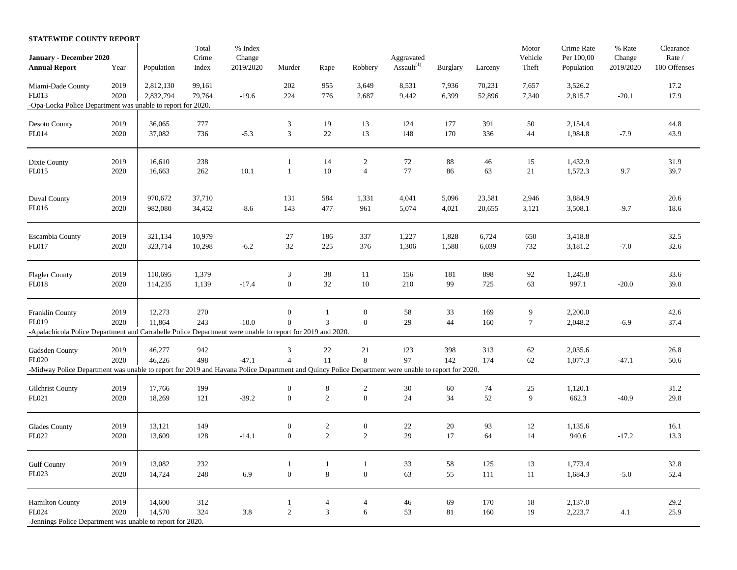## **STATEWIDE COUNTY REPORT**

|                                                                                                                                                   |      |            | Total  | % Index   |                             |                |                  |               |          |         | Motor   | Crime Rate | % Rate    | Clearance    |
|---------------------------------------------------------------------------------------------------------------------------------------------------|------|------------|--------|-----------|-----------------------------|----------------|------------------|---------------|----------|---------|---------|------------|-----------|--------------|
| January - December 2020                                                                                                                           |      |            | Crime  | Change    |                             |                |                  | Aggravated    |          |         | Vehicle | Per 100,00 | Change    | Rate /       |
| <b>Annual Report</b>                                                                                                                              | Year | Population | Index  | 2019/2020 | Murder                      | Rape           | Robbery          | Assault $(1)$ | Burglary | Larceny | Theft   | Population | 2019/2020 | 100 Offenses |
| Miami-Dade County                                                                                                                                 | 2019 | 2,812,130  | 99,161 |           | 202                         | 955            | 3,649            | 8,531         | 7,936    | 70,231  | 7,657   | 3,526.2    |           | 17.2         |
| FL013                                                                                                                                             | 2020 | 2,832,794  | 79,764 | $-19.6$   | 224                         | 776            | 2,687            |               | 6,399    | 52,896  | 7,340   |            |           | 17.9         |
| -Opa-Locka Police Department was unable to report for 2020.                                                                                       |      |            |        |           |                             |                |                  | 9,442         |          |         |         | 2,815.7    | $-20.1$   |              |
|                                                                                                                                                   |      |            |        |           |                             |                |                  |               |          |         |         |            |           |              |
| <b>Desoto County</b>                                                                                                                              | 2019 | 36,065     | 777    |           | $\ensuremath{\mathfrak{Z}}$ | 19             | 13               | 124           | 177      | 391     | 50      | 2,154.4    |           | 44.8         |
| FL014                                                                                                                                             | 2020 | 37,082     | 736    | $-5.3$    | $\sqrt{3}$                  | $22\,$         | 13               | 148           | 170      | 336     | 44      | 1,984.8    | $-7.9$    | 43.9         |
|                                                                                                                                                   |      |            |        |           |                             |                |                  |               |          |         |         |            |           |              |
|                                                                                                                                                   |      |            |        |           |                             |                |                  |               |          |         |         |            |           |              |
| Dixie County                                                                                                                                      | 2019 | 16,610     | 238    |           | -1                          | 14             | $\sqrt{2}$       | $72\,$        | 88       | 46      | 15      | 1,432.9    |           | 31.9         |
| FL015                                                                                                                                             | 2020 | 16,663     | 262    | 10.1      | $\mathbf{1}$                | $10\,$         | $\overline{4}$   | $77\,$        | 86       | 63      | 21      | 1,572.3    | 9.7       | 39.7         |
|                                                                                                                                                   | 2019 | 970,672    | 37,710 |           | 131                         | 584            | 1,331            | 4,041         | 5,096    | 23,581  | 2,946   | 3,884.9    |           | 20.6         |
| Duval County<br>FL016                                                                                                                             | 2020 | 982,080    | 34,452 | $-8.6$    | 143                         | 477            | 961              | 5,074         | 4,021    | 20,655  | 3,121   | 3,508.1    | $-9.7$    | 18.6         |
|                                                                                                                                                   |      |            |        |           |                             |                |                  |               |          |         |         |            |           |              |
| Escambia County                                                                                                                                   | 2019 | 321,134    | 10,979 |           | 27                          | 186            | 337              | 1,227         | 1,828    | 6,724   | 650     | 3,418.8    |           | 32.5         |
| FL017                                                                                                                                             | 2020 | 323,714    | 10,298 | $-6.2$    | 32                          | 225            | 376              | 1,306         | 1,588    | 6,039   | 732     | 3,181.2    | $-7.0$    | 32.6         |
|                                                                                                                                                   |      |            |        |           |                             |                |                  |               |          |         |         |            |           |              |
| Flagler County                                                                                                                                    | 2019 | 110,695    | 1,379  |           | 3                           | 38             | 11               | 156           | 181      | 898     | 92      | 1,245.8    |           | 33.6         |
| <b>FL018</b>                                                                                                                                      | 2020 | 114,235    | 1,139  | $-17.4$   | $\boldsymbol{0}$            | 32             | 10               | 210           | 99       | 725     | 63      | 997.1      | $-20.0$   | 39.0         |
|                                                                                                                                                   |      |            |        |           |                             |                |                  |               |          |         |         |            |           |              |
| Franklin County                                                                                                                                   | 2019 | 12,273     | 270    |           | $\boldsymbol{0}$            | $\mathbf{1}$   | $\boldsymbol{0}$ | 58            | 33       | 169     | 9       | 2,200.0    |           | 42.6         |
| FL019                                                                                                                                             | 2020 | 11,864     | 243    | $-10.0$   | $\boldsymbol{0}$            | 3              | $\boldsymbol{0}$ | 29            | 44       | 160     | $\tau$  | 2,048.2    | $-6.9$    | 37.4         |
| -Apalachicola Police Department and Carrabelle Police Department were unable to report for 2019 and 2020.                                         |      |            |        |           |                             |                |                  |               |          |         |         |            |           |              |
| Gadsden County                                                                                                                                    | 2019 | 46,277     | 942    |           | $\ensuremath{\mathfrak{Z}}$ | $22\,$         | 21               | 123           | 398      | 313     | 62      | 2,035.6    |           | 26.8         |
| FL020                                                                                                                                             | 2020 | 46,226     | 498    | $-47.1$   | $\overline{4}$              | 11             | $\,8\,$          | 97            | 142      | 174     | 62      | 1,077.3    | $-47.1$   | 50.6         |
| -Midway Police Department was unable to report for 2019 and Havana Police Department and Quincy Police Department were unable to report for 2020. |      |            |        |           |                             |                |                  |               |          |         |         |            |           |              |
|                                                                                                                                                   |      |            |        |           |                             |                |                  |               |          |         |         |            |           |              |
| <b>Gilchrist County</b>                                                                                                                           | 2019 | 17,766     | 199    |           | $\boldsymbol{0}$            | 8              | 2                | $30\,$        | 60       | 74      | 25      | 1,120.1    |           | 31.2         |
| FL021                                                                                                                                             | 2020 | 18,269     | 121    | $-39.2$   | $\boldsymbol{0}$            | $\sqrt{2}$     | $\boldsymbol{0}$ | $24\,$        | 34       | 52      | 9       | 662.3      | $-40.9$   | 29.8         |
|                                                                                                                                                   |      |            |        |           |                             |                |                  |               |          |         |         |            |           |              |
| Glades County                                                                                                                                     | 2019 | 13,121     | 149    |           | $\boldsymbol{0}$            | $\sqrt{2}$     | $\boldsymbol{0}$ | $22\,$        | 20       | 93      | 12      | 1,135.6    |           | 16.1         |
| FL022                                                                                                                                             | 2020 | 13,609     | 128    | $-14.1$   | $\boldsymbol{0}$            | 2              | $\sqrt{2}$       | 29            | 17       | 64      | 14      | 940.6      | $-17.2$   | 13.3         |
|                                                                                                                                                   |      |            |        |           |                             |                |                  |               |          |         |         |            |           |              |
| <b>Gulf County</b>                                                                                                                                | 2019 | 13,082     | 232    |           | 1                           | $\mathbf{1}$   | $\mathbf{1}$     | 33            | 58       | 125     | 13      | 1,773.4    |           | 32.8         |
| FL023                                                                                                                                             | 2020 | 14,724     | 248    | 6.9       | $\boldsymbol{0}$            | $\,8\,$        | $\boldsymbol{0}$ | 63            | 55       | 111     | 11      | 1,684.3    | $-5.0$    | 52.4         |
|                                                                                                                                                   |      |            |        |           |                             |                |                  |               |          |         |         |            |           |              |
| <b>Hamilton County</b>                                                                                                                            | 2019 | 14,600     | 312    |           | $\mathbf{1}$                | $\overline{4}$ | $\overline{4}$   | 46            | 69       | 170     | 18      | 2,137.0    |           | 29.2         |
| FL024                                                                                                                                             | 2020 | 14,570     | 324    | 3.8       | $\overline{2}$              | $\overline{3}$ | 6                | 53            | 81       | 160     | 19      | 2,223.7    | 4.1       | 25.9         |
| -Jennings Police Department was unable to report for 2020.                                                                                        |      |            |        |           |                             |                |                  |               |          |         |         |            |           |              |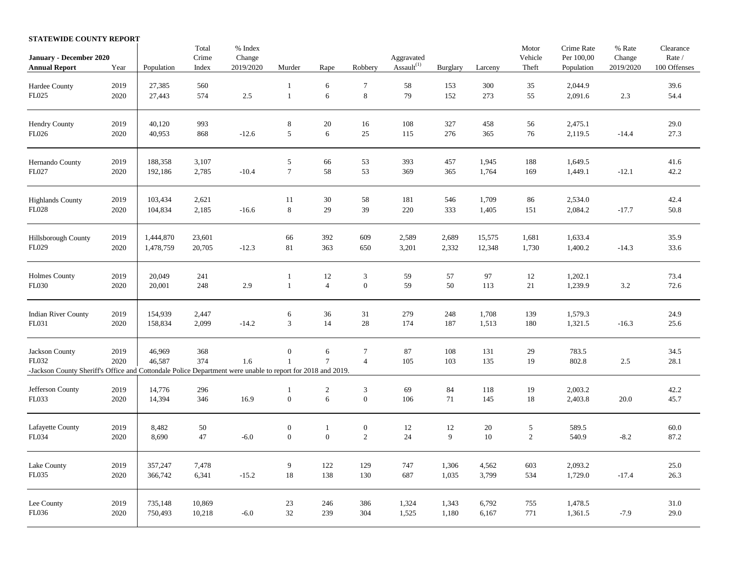## **STATEWIDE COUNTY REPORT**

|                                                                                                                     |      |            | Total          | % Index             |                  |                  |                             |                             |                 |         | Motor            | Crime Rate               | % Rate              | Clearance              |
|---------------------------------------------------------------------------------------------------------------------|------|------------|----------------|---------------------|------------------|------------------|-----------------------------|-----------------------------|-----------------|---------|------------------|--------------------------|---------------------|------------------------|
| January - December 2020<br><b>Annual Report</b>                                                                     | Year | Population | Crime<br>Index | Change<br>2019/2020 | Murder           | Rape             | Robbery                     | Aggravated<br>Assault $(1)$ | <b>Burglary</b> | Larceny | Vehicle<br>Theft | Per 100,00<br>Population | Change<br>2019/2020 | Rate /<br>100 Offenses |
|                                                                                                                     |      |            |                |                     |                  |                  |                             |                             |                 |         |                  |                          |                     |                        |
| Hardee County                                                                                                       | 2019 | 27,385     | 560            |                     | $\mathbf{1}$     | 6                | $\tau$                      | $58\,$                      | 153             | 300     | 35               | 2,044.9                  |                     | 39.6                   |
| ${\rm F}L025$                                                                                                       | 2020 | 27,443     | 574            | $2.5\,$             | $\,1\,$          | $\sqrt{6}$       | $\bf 8$                     | 79                          | 152             | 273     | 55               | 2,091.6                  | $2.3\,$             | 54.4                   |
| Hendry County                                                                                                       | 2019 | 40,120     | 993            |                     | $\,$ 8 $\,$      | 20               | 16                          | 108                         | 327             | 458     | 56               | 2,475.1                  |                     | 29.0                   |
| FL026                                                                                                               | 2020 | 40,953     | 868            | $-12.6$             | $\sqrt{5}$       | 6                | $25\,$                      | 115                         | 276             | 365     | 76               | 2,119.5                  | $-14.4$             | 27.3                   |
| Hernando County                                                                                                     | 2019 | 188,358    | 3,107          |                     | $\sqrt{5}$       | 66               | 53                          | 393                         | 457             | 1,945   | 188              | 1,649.5                  |                     | 41.6                   |
| FL027                                                                                                               | 2020 | 192,186    | 2,785          | $-10.4$             | $\boldsymbol{7}$ | 58               | 53                          | 369                         | 365             | 1,764   | 169              | 1,449.1                  | $-12.1$             | 42.2                   |
| <b>Highlands County</b>                                                                                             | 2019 | 103,434    | 2,621          |                     | 11               | 30               | 58                          | 181                         | 546             | 1,709   | 86               | 2,534.0                  |                     | 42.4                   |
| FL028                                                                                                               | 2020 | 104,834    | 2,185          | $-16.6$             | $\,$ 8 $\,$      | 29               | 39                          | 220                         | 333             | 1,405   | 151              | 2,084.2                  | $-17.7$             | 50.8                   |
| Hillsborough County                                                                                                 | 2019 | 1,444,870  | 23,601         |                     | 66               | 392              | 609                         | 2,589                       | 2,689           | 15,575  | 1,681            | 1,633.4                  |                     | 35.9                   |
| FL029                                                                                                               | 2020 | 1,478,759  | 20,705         | $-12.3$             | 81               | 363              | 650                         | 3,201                       | 2,332           | 12,348  | 1,730            | 1,400.2                  | $-14.3$             | 33.6                   |
| <b>Holmes County</b>                                                                                                | 2019 | 20,049     | 241            |                     | 1                | 12               | $\ensuremath{\mathfrak{Z}}$ | 59                          | 57              | 97      | 12               | 1,202.1                  |                     | 73.4                   |
| FL030                                                                                                               | 2020 | 20,001     | 248            | 2.9                 | $\mathbf{1}$     | $\overline{4}$   | $\boldsymbol{0}$            | 59                          | 50              | 113     | 21               | 1,239.9                  | 3.2                 | 72.6                   |
| <b>Indian River County</b>                                                                                          | 2019 | 154,939    | 2,447          |                     | $\sqrt{6}$       | 36               | 31                          | 279                         | 248             | 1,708   | 139              | 1,579.3                  |                     | 24.9                   |
| FL031                                                                                                               | 2020 | 158,834    | 2,099          | $-14.2$             | 3                | 14               | $28\,$                      | 174                         | 187             | 1,513   | 180              | 1,321.5                  | $-16.3$             | 25.6                   |
| Jackson County                                                                                                      | 2019 | 46,969     | 368            |                     | $\boldsymbol{0}$ | 6                | $\tau$                      | 87                          | 108             | 131     | 29               | 783.5                    |                     | 34.5                   |
| FL032<br>-Jackson County Sheriff's Office and Cottondale Police Department were unable to report for 2018 and 2019. | 2020 | 46,587     | 374            | 1.6                 | $\mathbf{1}$     | $\overline{7}$   | $\overline{4}$              | 105                         | 103             | 135     | 19               | 802.8                    | 2.5                 | 28.1                   |
| Jefferson County                                                                                                    | 2019 | 14,776     | 296            |                     | 1                | $\boldsymbol{2}$ | $\ensuremath{\mathfrak{Z}}$ | 69                          | 84              | 118     | 19               | 2,003.2                  |                     | 42.2                   |
| FL033                                                                                                               | 2020 | 14,394     | 346            | 16.9                | $\mathbf{0}$     | 6                | $\boldsymbol{0}$            | 106                         | 71              | 145     | 18               | 2,403.8                  | 20.0                | 45.7                   |
| Lafayette County                                                                                                    | 2019 | 8,482      | $50\,$         |                     | $\boldsymbol{0}$ | $\mathbf{1}$     | $\boldsymbol{0}$            | 12                          | 12              | 20      | 5                | 589.5                    |                     | 60.0                   |
| FL034                                                                                                               | 2020 | 8,690      | 47             | $-6.0$              | $\boldsymbol{0}$ | $\boldsymbol{0}$ | $\sqrt{2}$                  | 24                          | 9               | $10\,$  | $\sqrt{2}$       | 540.9                    | $-8.2$              | 87.2                   |
| Lake County                                                                                                         | 2019 | 357,247    | 7,478          |                     | 9                | 122              | 129                         | 747                         | 1,306           | 4,562   | 603              | 2,093.2                  |                     | 25.0                   |
| FL035                                                                                                               | 2020 | 366,742    | 6,341          | $-15.2$             | 18               | 138              | 130                         | 687                         | 1,035           | 3,799   | 534              | 1,729.0                  | $-17.4$             | 26.3                   |
| Lee County                                                                                                          | 2019 | 735,148    | 10,869         |                     | 23               | 246              | 386                         | 1,324                       | 1,343           | 6,792   | 755              | 1,478.5                  |                     | 31.0                   |
| FL036                                                                                                               | 2020 | 750,493    | 10,218         | $-6.0$              | 32               | 239              | 304                         | 1,525                       | 1,180           | 6,167   | 771              | 1,361.5                  | $-7.9$              | 29.0                   |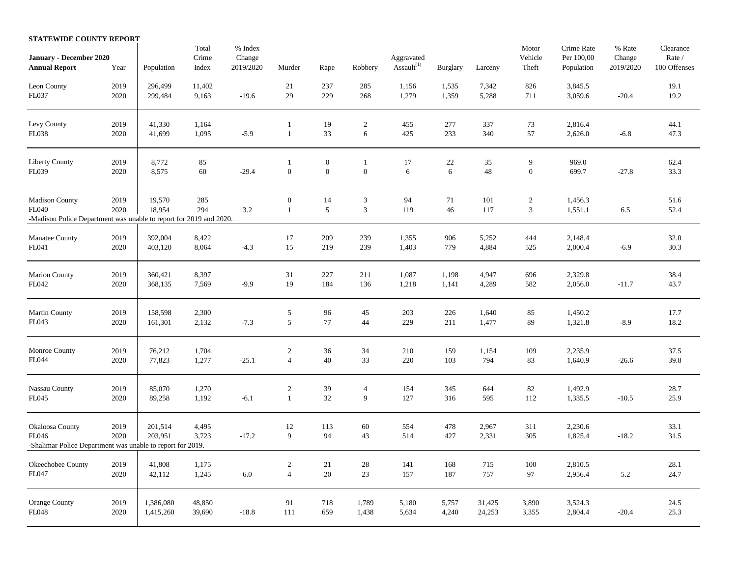|  | STATEWIDE COUNTY REPORT |  |  |  |
|--|-------------------------|--|--|--|
|--|-------------------------|--|--|--|

|                                                                    |              |                  | Total      | $\%$ Index |                  |                  |                     |                             |                 |         | Motor                    | Crime Rate         | % Rate    | Clearance    |
|--------------------------------------------------------------------|--------------|------------------|------------|------------|------------------|------------------|---------------------|-----------------------------|-----------------|---------|--------------------------|--------------------|-----------|--------------|
| January - December 2020                                            |              |                  | Crime      | Change     |                  |                  |                     | Aggravated<br>Assault $(1)$ |                 |         | Vehicle                  | Per 100,00         | Change    | Rate /       |
| <b>Annual Report</b>                                               | Year         | Population       | Index      | 2019/2020  | Murder           | Rape             | Robbery             |                             | <b>Burglary</b> | Larceny | Theft                    | Population         | 2019/2020 | 100 Offenses |
| Leon County                                                        | 2019         | 296,499          | 11,402     |            | 21               | 237              | 285                 | 1,156                       | 1,535           | 7,342   | 826                      | 3,845.5            |           | 19.1         |
| FL037                                                              | 2020         | 299,484          | 9,163      | $-19.6$    | 29               | 229              | 268                 | 1,279                       | 1,359           | 5,288   | 711                      | 3,059.6            | $-20.4$   | 19.2         |
|                                                                    |              |                  |            |            |                  |                  |                     |                             |                 |         |                          |                    |           |              |
| Levy County                                                        | 2019         | 41,330           | 1,164      |            | 1                | 19               | $\sqrt{2}$          | 455                         | 277             | 337     | 73                       | 2,816.4            |           | 44.1         |
| FL038                                                              | 2020         | 41,699           | 1,095      | $-5.9$     | $\mathbf{1}$     | 33               | $\epsilon$          | 425                         | 233             | 340     | 57                       | 2,626.0            | $-6.8$    | 47.3         |
|                                                                    |              |                  |            |            |                  |                  |                     |                             |                 |         |                          |                    |           |              |
| Liberty County                                                     | 2019         | 8,772            | 85         |            | 1                | $\boldsymbol{0}$ | $\mathbf{1}$        | 17                          | 22              | 35      | 9                        | 969.0              |           | 62.4         |
| FL039                                                              | 2020         | 8,575            | 60         | $-29.4$    | $\boldsymbol{0}$ | $\boldsymbol{0}$ | $\boldsymbol{0}$    | $\sqrt{6}$                  | $6\,$           | 48      | $\boldsymbol{0}$         | 699.7              | $-27.8$   | 33.3         |
| <b>Madison County</b>                                              |              |                  |            |            | $\boldsymbol{0}$ |                  |                     |                             | 71              | 101     |                          |                    |           |              |
| <b>FL040</b>                                                       | 2019<br>2020 | 19,570<br>18,954 | 285<br>294 | 3.2        | $\mathbf{1}$     | 14<br>5          | 3<br>$\mathfrak{Z}$ | 94<br>119                   | 46              | 117     | $\sqrt{2}$<br>$\sqrt{3}$ | 1,456.3<br>1,551.1 | 6.5       | 51.6<br>52.4 |
| -Madison Police Department was unable to report for 2019 and 2020. |              |                  |            |            |                  |                  |                     |                             |                 |         |                          |                    |           |              |
|                                                                    |              |                  |            |            |                  |                  |                     |                             |                 |         |                          |                    |           |              |
| Manatee County                                                     | 2019         | 392,004          | 8,422      |            | 17               | 209              | 239                 | 1,355                       | 906             | 5,252   | 444                      | 2,148.4            |           | 32.0         |
| FL041                                                              | 2020         | 403,120          | 8,064      | $-4.3$     | 15               | 219              | 239                 | 1,403                       | 779             | 4,884   | 525                      | 2,000.4            | $-6.9$    | 30.3         |
| Marion County                                                      | 2019         | 360,421          | 8,397      |            | 31               | 227              | 211                 | 1,087                       | 1,198           | 4,947   | 696                      | 2,329.8            |           | 38.4         |
| FL042                                                              | 2020         | 368,135          | 7,569      | $-9.9$     | 19               | 184              | 136                 | 1,218                       | 1,141           | 4,289   | 582                      | 2,056.0            | $-11.7$   | 43.7         |
|                                                                    |              |                  |            |            |                  |                  |                     |                             |                 |         |                          |                    |           |              |
| <b>Martin County</b>                                               | 2019         | 158,598          | 2,300      |            | $\sqrt{5}$       | 96               | $45\,$              | 203                         | 226             | 1,640   | 85                       | 1,450.2            |           | 17.7         |
| FL043                                                              | 2020         | 161,301          | 2,132      | $-7.3$     | $\sqrt{5}$       | 77               | 44                  | 229                         | 211             | 1,477   | 89                       | 1,321.8            | $-8.9$    | 18.2         |
|                                                                    |              |                  |            |            |                  |                  |                     |                             |                 |         |                          |                    |           |              |
| Monroe County                                                      | 2019         | 76,212           | 1,704      |            | $\boldsymbol{2}$ | 36               | 34                  | 210                         | 159             | 1,154   | 109                      | 2,235.9            |           | 37.5         |
| <b>FL044</b>                                                       | 2020         | 77,823           | 1,277      | $-25.1$    | $\overline{4}$   | 40               | 33                  | 220                         | 103             | 794     | 83                       | 1,640.9            | $-26.6$   | 39.8         |
|                                                                    |              |                  |            |            |                  |                  |                     |                             |                 |         |                          |                    |           |              |
| Nassau County                                                      | 2019         | 85,070           | 1,270      |            | $\sqrt{2}$       | 39               | $\overline{4}$      | 154                         | 345             | 644     | 82                       | 1,492.9            |           | 28.7         |
| FL045                                                              | 2020         | 89,258           | 1,192      | $-6.1$     | $\mathbf{1}$     | 32               | $\overline{9}$      | 127                         | 316             | 595     | 112                      | 1,335.5            | $-10.5$   | 25.9         |
|                                                                    |              |                  |            |            |                  |                  |                     |                             |                 |         |                          |                    |           |              |
| Okaloosa County                                                    | 2019         | 201,514          | 4,495      |            | 12               | 113              | 60                  | 554                         | 478             | 2,967   | 311                      | 2,230.6            |           | 33.1         |
| FL046                                                              | 2020         | 203,951          | 3,723      | $-17.2$    | 9                | 94               | 43                  | 514                         | 427             | 2,331   | 305                      | 1,825.4            | $-18.2$   | 31.5         |
| -Shalimar Police Department was unable to report for 2019.         |              |                  |            |            |                  |                  |                     |                             |                 |         |                          |                    |           |              |
| Okeechobee County                                                  | 2019         | 41,808           |            |            | $\overline{c}$   |                  |                     | 141                         | 168             | 715     |                          |                    |           | 28.1         |
| FL047                                                              | 2020         |                  | 1,175      |            | $\overline{4}$   | 21<br>$20\,$     | 28                  |                             | 187             | 757     | 100<br>97                | 2,810.5            |           |              |
|                                                                    |              | 42,112           | 1,245      | $6.0\,$    |                  |                  | 23                  | 157                         |                 |         |                          | 2,956.4            | 5.2       | 24.7         |
| Orange County                                                      | 2019         | 1,386,080        | 48,850     |            | 91               | 718              | 1,789               | 5,180                       | 5,757           | 31,425  | 3,890                    | 3,524.3            |           | 24.5         |
| FL048                                                              | 2020         | 1,415,260        | 39,690     | $-18.8$    | 111              | 659              | 1,438               | 5,634                       | 4,240           | 24,253  | 3,355                    | 2,804.4            | $-20.4$   | 25.3         |
|                                                                    |              |                  |            |            |                  |                  |                     |                             |                 |         |                          |                    |           |              |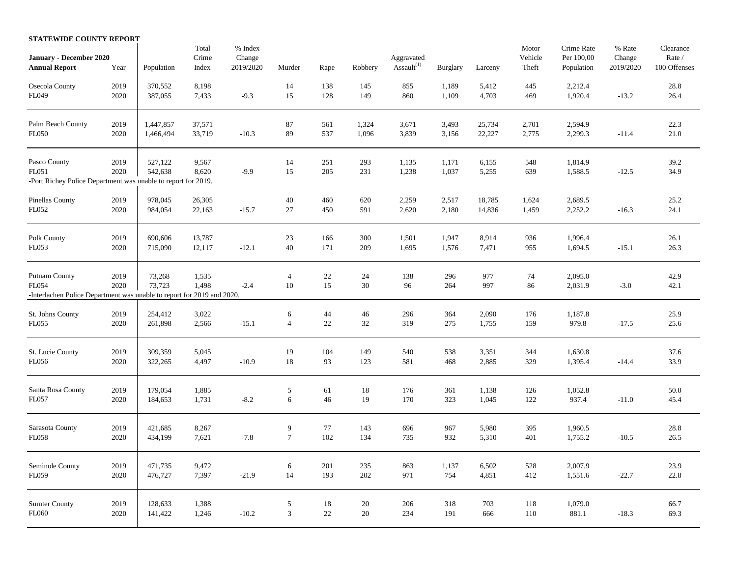## **STATEWIDE COUNTY REPORT** Total % Index Clearance **Motor** Crime Rate % Rate Clearance **January - December 2020** Crime Change Change Aggravated Vehicle Per 100,00 Change Rate /<br> **Annual Report** Year Population Index 2019/2020 Murder Rape Robbery Assault<sup>(1)</sup> Burglary Larceny Theft Population 2019/2020 100 Of **Annual Report** Year Population Index 2019/2020 Murder Rape Robbery Assault<sup>(1)</sup> Burglary Larceny Theft Population 2019/2020 100 Offenses Osecola County 2019 370,552 8,198 14 138 145 855 1,189 5,412 445 2,212.4 28.8 FL049 2020 387,055 7,433 -9.3 15 128 149 860 1,109 4,703 469 1,920.4 -13.2 26.4 Palm Beach County 2019 | 1,447,857 37,571 87 87 561 1,324 3,671 3,493 25,734 2,701 2,594.9 22.3 FL050 2020 1,466,494 33,719 -10.3 89 537 1,096 3,839 3,156 22,227 2,775 2,299.3 -11.4 21.0 Pasco County 2019 | 527,122 9,567 14 251 293 1,135 1,171 6,155 548 1,814.9 39.2 FL051 2020 542,638 8,620 -9.9 15 205 231 1,238 1,037 5,255 639 1,588.5 -12.5 34.9 -Port Richey Police Department was unable to report for 2019. Pinellas County 2019 978,045 26,305 40 460 620 2,259 2,517 18,785 1,624 2,689.5 25.2 FL052 2020 984,054 22,163 -15.7 27 450 591 2,620 2,180 14,836 1,459 2,252.2 -16.3 24.1 Polk County 2019 690,606 13,787 23 166 300 1,501 1,947 8,914 936 1,996.4 26.1 FL053 2020 715,090 12,117 -12.1 40 171 209 1,695 1,576 7,471 955 1,694.5 -15.1 26.3 Putnam County 2019 73,268 1,535 4 22 24 138 296 977 74 2,095.0 42.9 FL054 2020 73,723 1,498 -2.4 10 15 30 96 264 997 86 2,031.9 -3.0 42.1 -Interlachen Police Department was unable to report for 2019 and 2020. St. Johns County 2019 | 254,412 3,022 6 44 46 296 364 2,090 176 1,187.8 25.9 FL055 2020 261,898 2,566 -15.1 4 22 32 319 275 1,755 159 979.8 -17.5 25.6 St. Lucie County 2019 | 309,359 5,045 19 104 149 540 538 3,351 344 1,630.8 37.6 FL056 2020 322,265 4,497 -10.9 18 93 123 581 468 2,885 329 1,395.4 -14.4 33.9 Santa Rosa County 2019 | 179,054 1,885 5 5 61 18 176 361 1,138 126 1,052.8 50.0

| <b>Sumter County</b><br>FL060   | 2019<br>2020 | 128,633<br>141,422 | 1,388<br>1,246 | $-10.2$ | 3       | 18<br>22   | 20<br>20   | 206<br>234 | 318<br>191   | 703<br>666     | 118<br>110 | 1,079.0<br>881.1   | $-18.3$ | 66.7<br>69.3 |
|---------------------------------|--------------|--------------------|----------------|---------|---------|------------|------------|------------|--------------|----------------|------------|--------------------|---------|--------------|
| Seminole County<br>FL059        | 2019<br>2020 | 471.735<br>476,727 | 9,472<br>7,397 | $-21.9$ | 6<br>14 | 201<br>193 | 235<br>202 | 863<br>971 | 1,137<br>754 | 6,502<br>4,851 | 528<br>412 | 2,007.9<br>1,551.6 | $-22.7$ | 23.9<br>22.8 |
| Sarasota County<br><b>FL058</b> | 2019<br>2020 | 421,685<br>434,199 | 8,267<br>7,621 | $-7.8$  | 9       | 77<br>102  | 143<br>134 | 696<br>735 | 967<br>932   | 5,980<br>5,310 | 395<br>401 | 1,960.5<br>1,755.2 | $-10.5$ | 28.8<br>26.5 |
| Santa Rosa County<br>FL057      | 2019<br>2020 | 179,054<br>184,653 | 1,885<br>1,731 | $-8.2$  | 6       | 61<br>46   | 18.<br>19  | 176<br>170 | 361<br>323   | 1,138<br>1,045 | 126<br>122 | 1,052.8<br>937.4   | $-11.0$ | 50.0<br>45.4 |